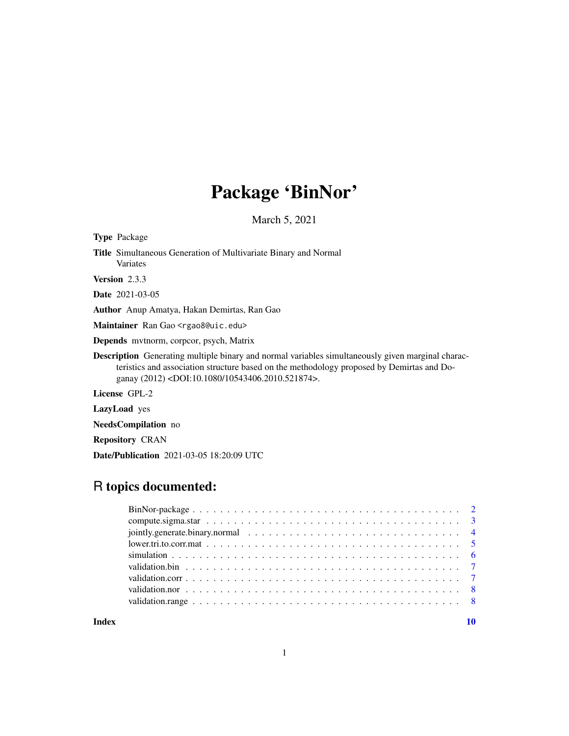# Package 'BinNor'

March 5, 2021

<span id="page-0-0"></span>

| <b>Type</b> Package                                                                                                                                                                                                                                                        |
|----------------------------------------------------------------------------------------------------------------------------------------------------------------------------------------------------------------------------------------------------------------------------|
| <b>Title</b> Simultaneous Generation of Multivariate Binary and Normal<br>Variates                                                                                                                                                                                         |
| <b>Version</b> 2.3.3                                                                                                                                                                                                                                                       |
| <b>Date</b> 2021-03-05                                                                                                                                                                                                                                                     |
| <b>Author</b> Anup Amatya, Hakan Demirtas, Ran Gao                                                                                                                                                                                                                         |
| Maintainer Ran Gao <rgao8@uic.edu></rgao8@uic.edu>                                                                                                                                                                                                                         |
| <b>Depends</b> mythorm, corpoor, psych, Matrix                                                                                                                                                                                                                             |
| <b>Description</b> Generating multiple binary and normal variables simultaneously given marginal charac-<br>teristics and association structure based on the methodology proposed by Demirtas and Do-<br>ganay (2012) <doi:10.1080 10543406.2010.521874="">.</doi:10.1080> |
| License GPL-2                                                                                                                                                                                                                                                              |
| <b>LazyLoad</b> yes                                                                                                                                                                                                                                                        |
| <b>NeedsCompilation</b> no                                                                                                                                                                                                                                                 |
|                                                                                                                                                                                                                                                                            |

Repository CRAN

Date/Publication 2021-03-05 18:20:09 UTC

# R topics documented:

| compute sigma star $\ldots \ldots \ldots \ldots \ldots \ldots \ldots \ldots \ldots \ldots \ldots \ldots$ |  |  |  |  |  |  |  |  |  |  |  |  |  |  |  |
|----------------------------------------------------------------------------------------------------------|--|--|--|--|--|--|--|--|--|--|--|--|--|--|--|
|                                                                                                          |  |  |  |  |  |  |  |  |  |  |  |  |  |  |  |
|                                                                                                          |  |  |  |  |  |  |  |  |  |  |  |  |  |  |  |
|                                                                                                          |  |  |  |  |  |  |  |  |  |  |  |  |  |  |  |
|                                                                                                          |  |  |  |  |  |  |  |  |  |  |  |  |  |  |  |
|                                                                                                          |  |  |  |  |  |  |  |  |  |  |  |  |  |  |  |
|                                                                                                          |  |  |  |  |  |  |  |  |  |  |  |  |  |  |  |
|                                                                                                          |  |  |  |  |  |  |  |  |  |  |  |  |  |  |  |
|                                                                                                          |  |  |  |  |  |  |  |  |  |  |  |  |  |  |  |

 $\blacksquare$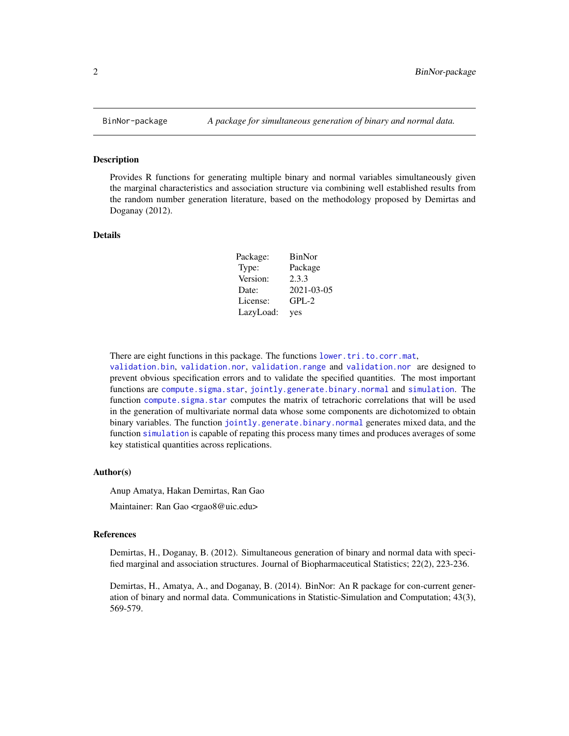<span id="page-1-0"></span>

#### Description

Provides R functions for generating multiple binary and normal variables simultaneously given the marginal characteristics and association structure via combining well established results from the random number generation literature, based on the methodology proposed by Demirtas and Doganay (2012).

#### Details

| Package:  | BinNor     |
|-----------|------------|
| Type:     | Package    |
| Version:  | 2.3.3      |
| Date:     | 2021-03-05 |
| License:  | $GPL-2$    |
| LazyLoad: | yes        |

There are eight functions in this package. The functions [lower.tri.to.corr.mat](#page-4-1),

[validation.bin](#page-6-1), [validation.nor](#page-7-1), [validation.range](#page-7-2) and [validation.nor](#page-7-1) are designed to prevent obvious specification errors and to validate the specified quantities. The most important functions are [compute.sigma.star](#page-2-1), [jointly.generate.binary.normal](#page-3-1) and [simulation](#page-5-1). The function [compute.sigma.star](#page-2-1) computes the matrix of tetrachoric correlations that will be used in the generation of multivariate normal data whose some components are dichotomized to obtain binary variables. The function [jointly.generate.binary.normal](#page-3-1) generates mixed data, and the function [simulation](#page-5-1) is capable of repating this process many times and produces averages of some key statistical quantities across replications.

#### Author(s)

Anup Amatya, Hakan Demirtas, Ran Gao Maintainer: Ran Gao <rgao8@uic.edu>

#### References

Demirtas, H., Doganay, B. (2012). Simultaneous generation of binary and normal data with specified marginal and association structures. Journal of Biopharmaceutical Statistics; 22(2), 223-236.

Demirtas, H., Amatya, A., and Doganay, B. (2014). BinNor: An R package for con-current generation of binary and normal data. Communications in Statistic-Simulation and Computation; 43(3), 569-579.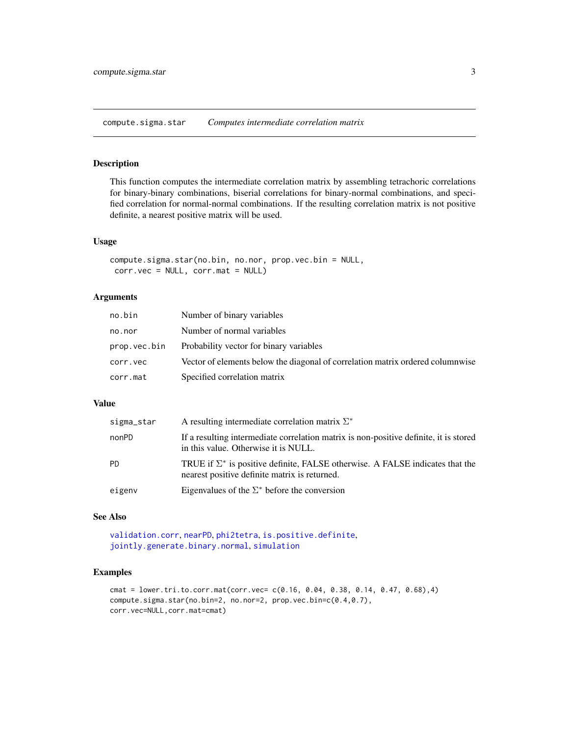<span id="page-2-1"></span><span id="page-2-0"></span>compute.sigma.star *Computes intermediate correlation matrix*

#### Description

This function computes the intermediate correlation matrix by assembling tetrachoric correlations for binary-binary combinations, biserial correlations for binary-normal combinations, and specified correlation for normal-normal combinations. If the resulting correlation matrix is not positive definite, a nearest positive matrix will be used.

#### Usage

```
compute.sigma.star(no.bin, no.nor, prop.vec.bin = NULL,
 corr.vec = NULL, corr.mat = NULL)
```
#### Arguments

| no.bin       | Number of binary variables                                                     |
|--------------|--------------------------------------------------------------------------------|
| no.nor       | Number of normal variables                                                     |
| prop.vec.bin | Probability vector for binary variables                                        |
| corr.vec     | Vector of elements below the diagonal of correlation matrix ordered columnwise |
| corr.mat     | Specified correlation matrix                                                   |

#### Value

| sigma_star | A resulting intermediate correlation matrix $\Sigma^*$                                                                                |
|------------|---------------------------------------------------------------------------------------------------------------------------------------|
| nonPD      | If a resulting intermediate correlation matrix is non-positive definite, it is stored<br>in this value. Otherwise it is NULL.         |
| <b>PD</b>  | TRUE if $\Sigma^*$ is positive definite, FALSE otherwise. A FALSE indicates that the<br>nearest positive definite matrix is returned. |
| eigenv     | Eigenvalues of the $\Sigma^*$ before the conversion                                                                                   |

## See Also

```
validation.corr, nearPD, phi2tetra, is.positive.definite,
jointly.generate.binary.normal, simulation
```
## Examples

```
cmat = lower.tri.to.corr.mat(corr.vec= c(0.16, 0.04, 0.38, 0.14, 0.47, 0.68),4)
compute.sigma.star(no.bin=2, no.nor=2, prop.vec.bin=c(0.4,0.7),
corr.vec=NULL,corr.mat=cmat)
```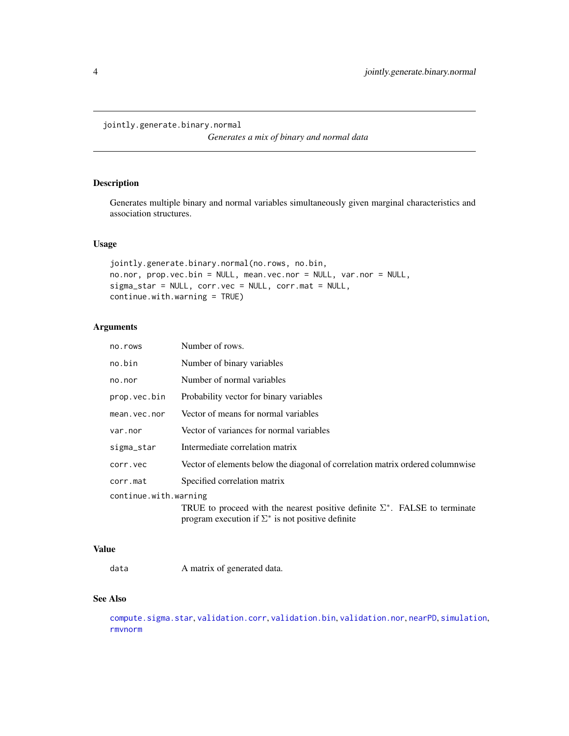#### <span id="page-3-1"></span><span id="page-3-0"></span>jointly.generate.binary.normal

*Generates a mix of binary and normal data*

#### Description

Generates multiple binary and normal variables simultaneously given marginal characteristics and association structures.

#### Usage

```
jointly.generate.binary.normal(no.rows, no.bin,
no.nor, prop.vec.bin = NULL, mean.vec.nor = NULL, var.nor = NULL,
sigma_star = NULL, corr.vec = NULL, corr.mat = NULL,
continue.with.warning = TRUE)
```
#### Arguments

| no.rows               | Number of rows.                                                                                                                                |
|-----------------------|------------------------------------------------------------------------------------------------------------------------------------------------|
| no.bin                | Number of binary variables                                                                                                                     |
| no.nor                | Number of normal variables                                                                                                                     |
| prop.vec.bin          | Probability vector for binary variables                                                                                                        |
| mean.vec.nor          | Vector of means for normal variables                                                                                                           |
| var.nor               | Vector of variances for normal variables                                                                                                       |
| sigma_star            | Intermediate correlation matrix                                                                                                                |
| corr.vec              | Vector of elements below the diagonal of correlation matrix ordered columnwise                                                                 |
| corr.mat              | Specified correlation matrix                                                                                                                   |
| continue.with.warning |                                                                                                                                                |
|                       | TRUE to proceed with the nearest positive definite $\Sigma^*$ . FALSE to terminate<br>program execution if $\Sigma^*$ is not positive definite |

#### Value

data A matrix of generated data.

#### See Also

[compute.sigma.star](#page-2-1), [validation.corr](#page-6-2), [validation.bin](#page-6-1), [validation.nor](#page-7-1), [nearPD](#page-0-0), [simulation](#page-5-1), [rmvnorm](#page-0-0)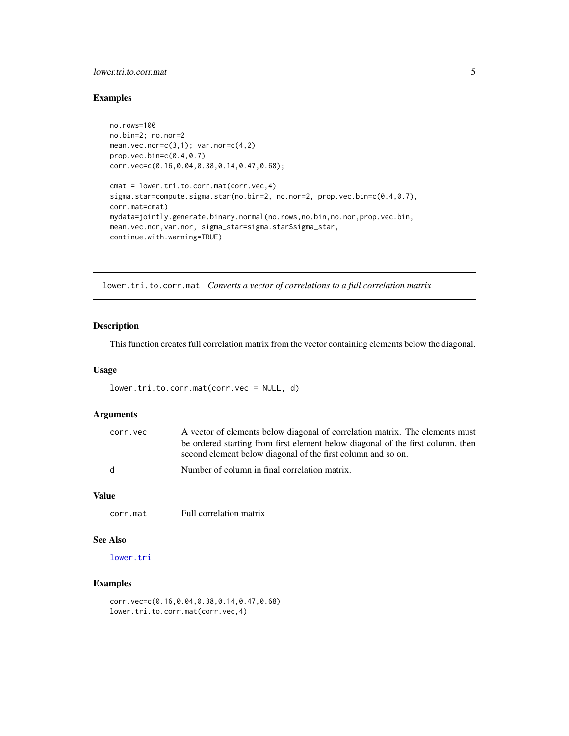#### <span id="page-4-0"></span>lower.tri.to.corr.mat 5

#### Examples

```
no.rows=100
no.bin=2; no.nor=2
mean.vec.nor=c(3,1); var.nor=c(4,2)
prop.vec.bin=c(0.4,0.7)
corr.vec=c(0.16,0.04,0.38,0.14,0.47,0.68);
cmat = lower.tri.to.corr.mat(corr.vec,4)
sigma.star=compute.sigma.star(no.bin=2, no.nor=2, prop.vec.bin=c(0.4,0.7),
corr.mat=cmat)
mydata=jointly.generate.binary.normal(no.rows,no.bin,no.nor,prop.vec.bin,
mean.vec.nor,var.nor, sigma_star=sigma.star$sigma_star,
continue.with.warning=TRUE)
```
<span id="page-4-1"></span>lower.tri.to.corr.mat *Converts a vector of correlations to a full correlation matrix*

#### Description

This function creates full correlation matrix from the vector containing elements below the diagonal.

#### Usage

```
lower.tri.to.corr.mat(corr.vec = NULL, d)
```
# Arguments

| corr.vec | A vector of elements below diagonal of correlation matrix. The elements must    |
|----------|---------------------------------------------------------------------------------|
|          | be ordered starting from first element below diagonal of the first column, then |
|          | second element below diagonal of the first column and so on.                    |
| d.       | Number of column in final correlation matrix.                                   |

#### Value

corr.mat Full correlation matrix

#### See Also

[lower.tri](#page-0-0)

#### Examples

corr.vec=c(0.16,0.04,0.38,0.14,0.47,0.68) lower.tri.to.corr.mat(corr.vec,4)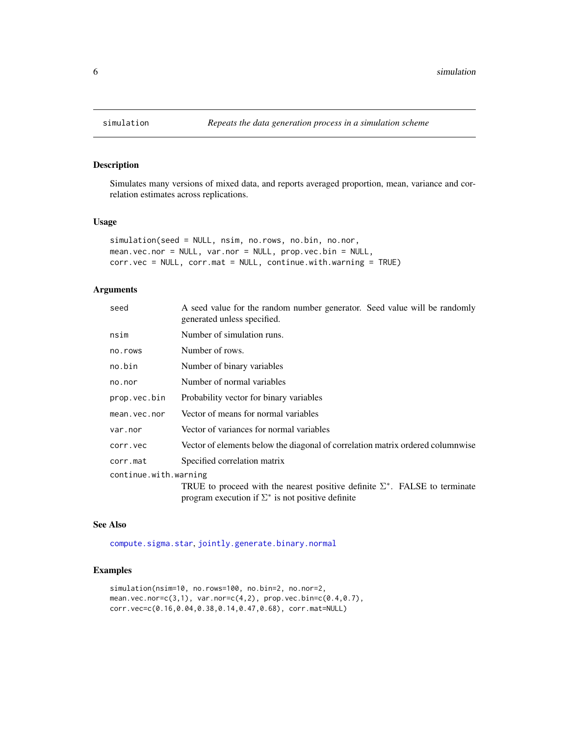<span id="page-5-1"></span><span id="page-5-0"></span>

#### Description

Simulates many versions of mixed data, and reports averaged proportion, mean, variance and correlation estimates across replications.

#### Usage

```
simulation(seed = NULL, nsim, no.rows, no.bin, no.nor,
mean.vec.nor = NULL, var.nor = NULL, prop.vec.bin = NULL,
corr.vec = NULL, corr.mat = NULL, continue.with.warning = TRUE)
```
#### Arguments

| seed                  | A seed value for the random number generator. Seed value will be randomly<br>generated unless specified.                                       |  |  |  |  |  |
|-----------------------|------------------------------------------------------------------------------------------------------------------------------------------------|--|--|--|--|--|
| nsim                  | Number of simulation runs.                                                                                                                     |  |  |  |  |  |
| no.rows               | Number of rows.                                                                                                                                |  |  |  |  |  |
| no.bin                | Number of binary variables                                                                                                                     |  |  |  |  |  |
| no.nor                | Number of normal variables                                                                                                                     |  |  |  |  |  |
| prop.vec.bin          | Probability vector for binary variables                                                                                                        |  |  |  |  |  |
| mean.vec.nor          | Vector of means for normal variables                                                                                                           |  |  |  |  |  |
| var.nor               | Vector of variances for normal variables                                                                                                       |  |  |  |  |  |
| corr.vec              | Vector of elements below the diagonal of correlation matrix ordered columnwise                                                                 |  |  |  |  |  |
| corr.mat              | Specified correlation matrix                                                                                                                   |  |  |  |  |  |
| continue.with.warning |                                                                                                                                                |  |  |  |  |  |
|                       | TRUE to proceed with the nearest positive definite $\Sigma^*$ . FALSE to terminate<br>program execution if $\Sigma^*$ is not positive definite |  |  |  |  |  |

#### See Also

[compute.sigma.star](#page-2-1), [jointly.generate.binary.normal](#page-3-1)

#### Examples

```
simulation(nsim=10, no.rows=100, no.bin=2, no.nor=2,
mean.vec.nor=c(3,1), var.nor=c(4,2), prop.vec.bin=c(0.4,0.7),
corr.vec=c(0.16,0.04,0.38,0.14,0.47,0.68), corr.mat=NULL)
```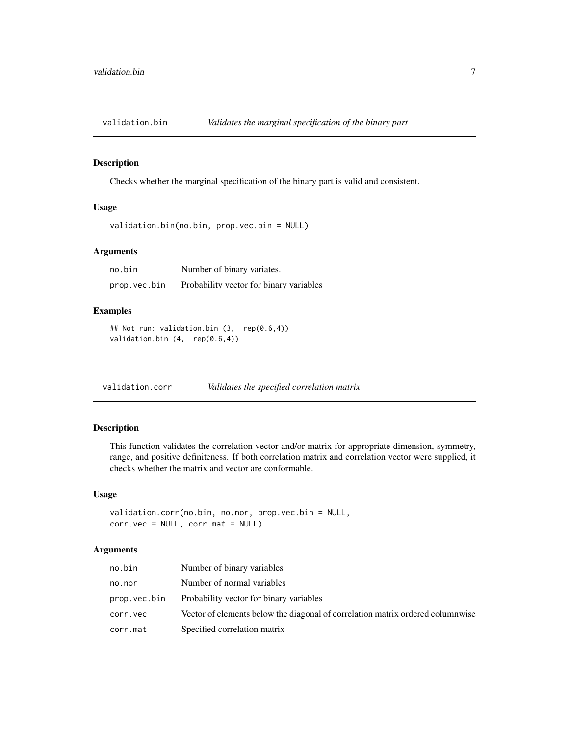<span id="page-6-1"></span><span id="page-6-0"></span>validation.bin *Validates the marginal specification of the binary part*

#### Description

Checks whether the marginal specification of the binary part is valid and consistent.

#### Usage

```
validation.bin(no.bin, prop.vec.bin = NULL)
```
#### Arguments

| no.bin       | Number of binary variates.              |
|--------------|-----------------------------------------|
| prop.vec.bin | Probability vector for binary variables |

#### Examples

```
## Not run: validation.bin (3, rep(0.6,4))
validation.bin (4, rep(0.6,4))
```
<span id="page-6-2"></span>validation.corr *Validates the specified correlation matrix*

#### Description

This function validates the correlation vector and/or matrix for appropriate dimension, symmetry, range, and positive definiteness. If both correlation matrix and correlation vector were supplied, it checks whether the matrix and vector are conformable.

#### Usage

```
validation.corr(no.bin, no.nor, prop.vec.bin = NULL,
corr.vec = NULL, corr.mat = NULL)
```
#### Arguments

| no.bin       | Number of binary variables                                                     |
|--------------|--------------------------------------------------------------------------------|
| no.nor       | Number of normal variables                                                     |
| prop.vec.bin | Probability vector for binary variables                                        |
| corr.vec     | Vector of elements below the diagonal of correlation matrix ordered columnwise |
| corr.mat     | Specified correlation matrix                                                   |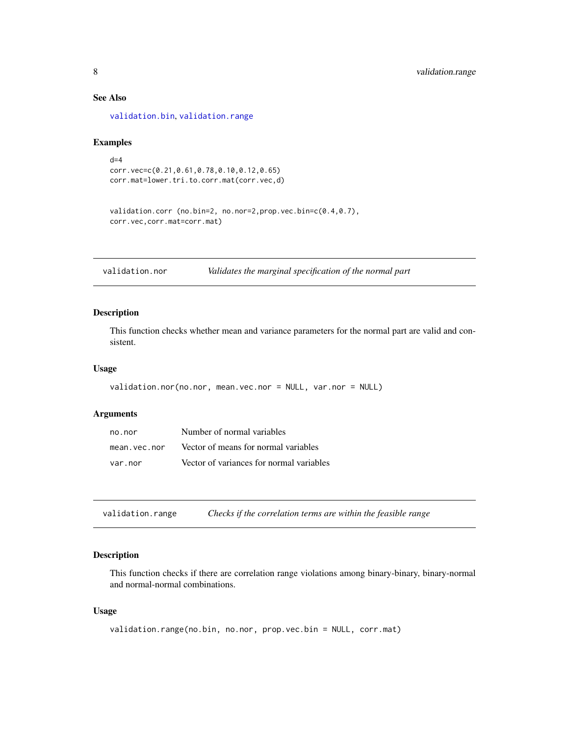## See Also

[validation.bin](#page-6-1), [validation.range](#page-7-2)

#### Examples

```
d=4corr.vec=c(0.21,0.61,0.78,0.10,0.12,0.65)
corr.mat=lower.tri.to.corr.mat(corr.vec,d)
```

```
validation.corr (no.bin=2, no.nor=2,prop.vec.bin=c(0.4,0.7),
corr.vec,corr.mat=corr.mat)
```
<span id="page-7-1"></span>validation.nor *Validates the marginal specification of the normal part*

#### Description

This function checks whether mean and variance parameters for the normal part are valid and consistent.

#### Usage

```
validation.nor(no.nor, mean.vec.nor = NULL, var.nor = NULL)
```
#### Arguments

| no.nor       | Number of normal variables               |
|--------------|------------------------------------------|
| mean.vec.nor | Vector of means for normal variables     |
| var.nor      | Vector of variances for normal variables |

<span id="page-7-2"></span>

| validation.range | Checks if the correlation terms are within the feasible range |  |
|------------------|---------------------------------------------------------------|--|
|------------------|---------------------------------------------------------------|--|

#### Description

This function checks if there are correlation range violations among binary-binary, binary-normal and normal-normal combinations.

#### Usage

```
validation.range(no.bin, no.nor, prop.vec.bin = NULL, corr.mat)
```
<span id="page-7-0"></span>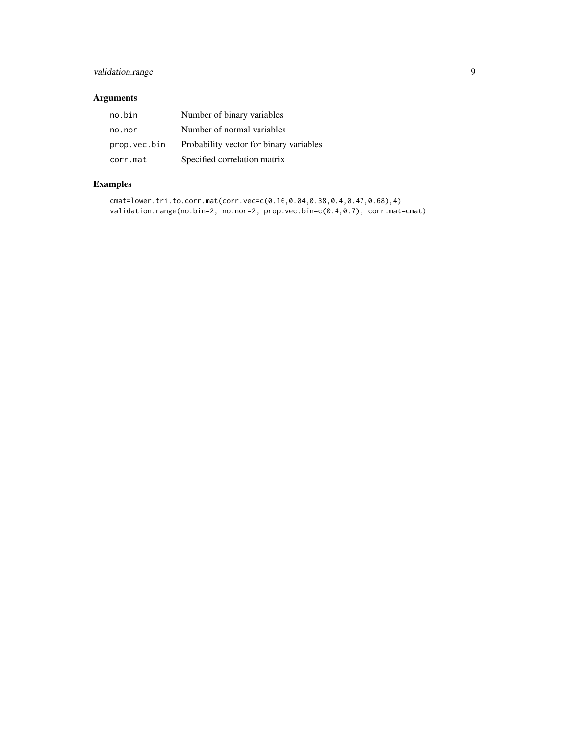# validation.range 9

# Arguments

| no.bin       | Number of binary variables              |
|--------------|-----------------------------------------|
| no.nor       | Number of normal variables              |
| prop.vec.bin | Probability vector for binary variables |
| corr.mat     | Specified correlation matrix            |

# Examples

```
cmat=lower.tri.to.corr.mat(corr.vec=c(0.16,0.04,0.38,0.4,0.47,0.68),4)
validation.range(no.bin=2, no.nor=2, prop.vec.bin=c(0.4,0.7), corr.mat=cmat)
```